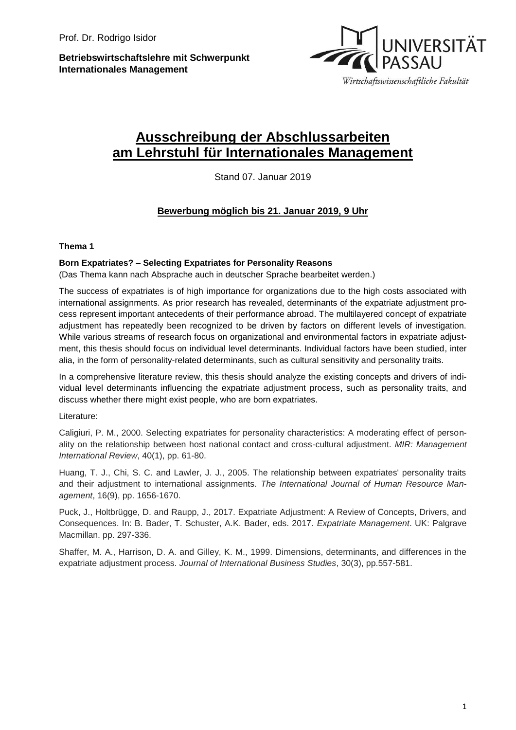**Betriebswirtschaftslehre mit Schwerpunkt Internationales Management**



# **Ausschreibung der Abschlussarbeiten am Lehrstuhl für Internationales Management**

Stand 07. Januar 2019

## **Bewerbung möglich bis 21. Januar 2019, 9 Uhr**

### **Thema 1**

### **Born Expatriates? – Selecting Expatriates for Personality Reasons**

(Das Thema kann nach Absprache auch in deutscher Sprache bearbeitet werden.)

The success of expatriates is of high importance for organizations due to the high costs associated with international assignments. As prior research has revealed, determinants of the expatriate adjustment process represent important antecedents of their performance abroad. The multilayered concept of expatriate adjustment has repeatedly been recognized to be driven by factors on different levels of investigation. While various streams of research focus on organizational and environmental factors in expatriate adjustment, this thesis should focus on individual level determinants. Individual factors have been studied, inter alia, in the form of personality-related determinants, such as cultural sensitivity and personality traits.

In a comprehensive literature review, this thesis should analyze the existing concepts and drivers of individual level determinants influencing the expatriate adjustment process, such as personality traits, and discuss whether there might exist people, who are born expatriates.

#### Literature:

Caligiuri, P. M., 2000. Selecting expatriates for personality characteristics: A moderating effect of personality on the relationship between host national contact and cross-cultural adjustment. *MIR: Management International Review*, 40(1), pp. 61-80.

Huang, T. J., Chi, S. C. and Lawler, J. J., 2005. The relationship between expatriates' personality traits and their adjustment to international assignments. *The International Journal of Human Resource Management*, 16(9), pp. 1656-1670.

Puck, J., Holtbrügge, D. and Raupp, J., 2017. Expatriate Adjustment: A Review of Concepts, Drivers, and Consequences. In: B. Bader, T. Schuster, A.K. Bader, eds. 2017. *Expatriate Management*. UK: Palgrave Macmillan. pp. 297-336.

Shaffer, M. A., Harrison, D. A. and Gilley, K. M., 1999. Dimensions, determinants, and differences in the expatriate adjustment process. *Journal of International Business Studies*, 30(3), pp.557-581.